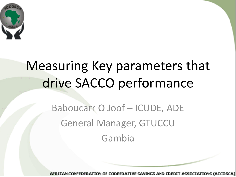

## Measuring Key parameters that drive SACCO performance

Baboucarr O Joof – ICUDE, ADE General Manager, GTUCCU Gambia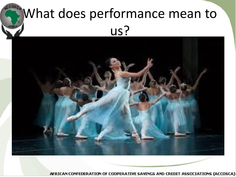## What does performance mean to us?

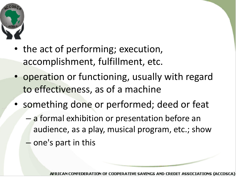

- the act of performing; execution, accomplishment, fulfillment, etc.
- operation or functioning, usually with regard to effectiveness, as of a machine
- something done or performed; deed or feat
	- a formal exhibition or presentation before an audience, as a play, musical program, etc.; show
	- one's part in this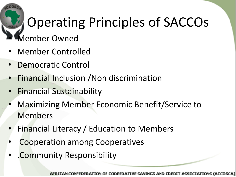## Operating Principles of SACCOs

#### • Member Owned

- Member Controlled
- Democratic Control
- Financial Inclusion /Non discrimination
- Financial Sustainability
- Maximizing Member Economic Benefit/Service to Members
- Financial Literacy / Education to Members
- Cooperation among Cooperatives
- .Community Responsibility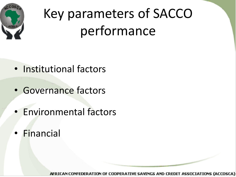

## Key parameters of SACCO performance

- Institutional factors
- Governance factors
- Environmental factors
- Financial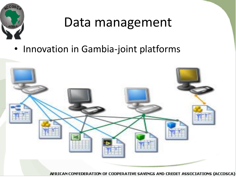

### Data management

• Innovation in Gambia-joint platforms

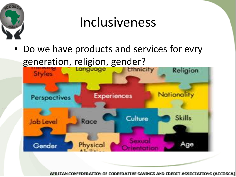

## Inclusiveness

Do we have products and services for evry generation, religion, gender?

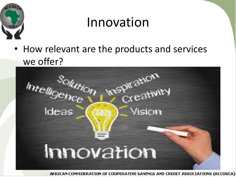

## Innovation

• How relevant are the products and services

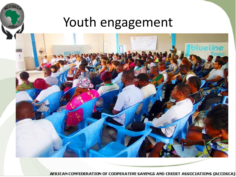#### Youth engagement

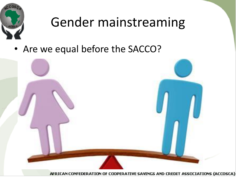

## Gender mainstreaming

• Are we equal before the SACCO?

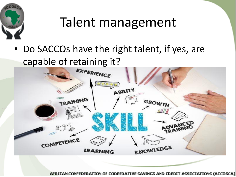

### Talent management

• Do SACCOs have the right talent, if yes, are

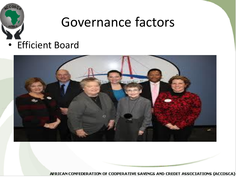

### Governance factors

• Efficient Board

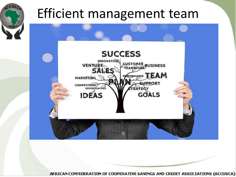

### Efficient management team

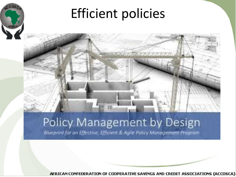

## Efficient policies

#### Policy Management by Design

Blueprint for an Effective, Efficient & Agile Policy Management Program.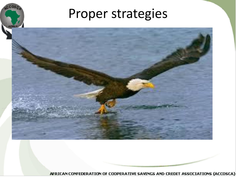#### Proper strategies

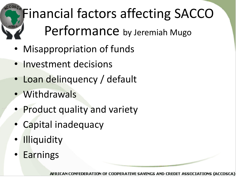# Financial factors affecting SACCO Performance by Jeremiah Mugo

- Misappropriation of funds
- Investment decisions
- Loan delinquency / default
- Withdrawals
- Product quality and variety
- Capital inadequacy
- **Illiquidity**
- Earnings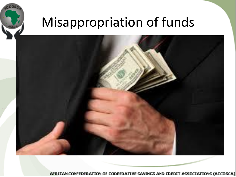

## Misappropriation of funds

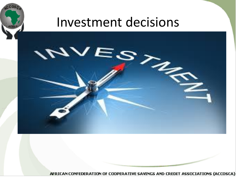

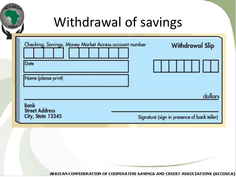| Checking, Savings, Money Market Access account number<br><b>Withdrawal Slip</b> |
|---------------------------------------------------------------------------------|
| dollars                                                                         |
|                                                                                 |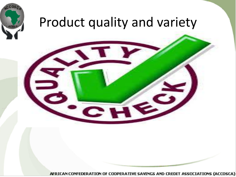

### Product quality and variety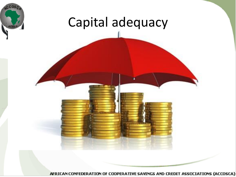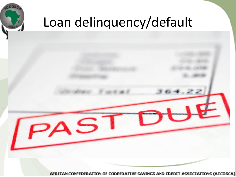

## Loan delinquency/default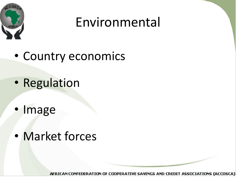

## Environmental

- Country economics
- Regulation
- Image
- Market forces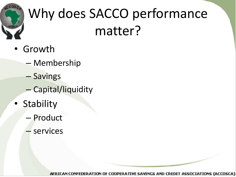

## Why does SACCO performance matter?

- Growth
	- Membership
	- Savings
	- Capital/liquidity
- Stability
	- Product
	- services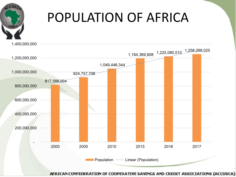## POPULATION OF AFRICA

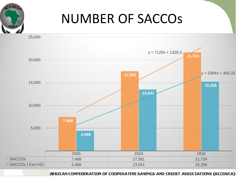## NUMBER OF SACCOs

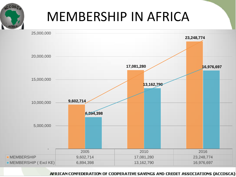## MEMBERSHIP IN AFRICA